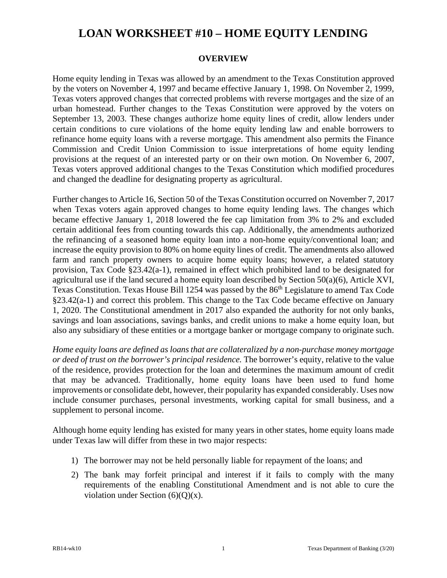#### **OVERVIEW**

Home equity lending in Texas was allowed by an amendment to the Texas Constitution approved by the voters on November 4, 1997 and became effective January 1, 1998. On November 2, 1999, Texas voters approved changes that corrected problems with reverse mortgages and the size of an urban homestead. Further changes to the Texas Constitution were approved by the voters on September 13, 2003. These changes authorize home equity lines of credit, allow lenders under certain conditions to cure violations of the home equity lending law and enable borrowers to refinance home equity loans with a reverse mortgage. This amendment also permits the Finance Commission and Credit Union Commission to issue interpretations of home equity lending provisions at the request of an interested party or on their own motion. On November 6, 2007, Texas voters approved additional changes to the Texas Constitution which modified procedures and changed the deadline for designating property as agricultural.

Further changes to Article 16, Section 50 of the Texas Constitution occurred on November 7, 2017 when Texas voters again approved changes to home equity lending laws. The changes which became effective January 1, 2018 lowered the fee cap limitation from 3% to 2% and excluded certain additional fees from counting towards this cap. Additionally, the amendments authorized the refinancing of a seasoned home equity loan into a non-home equity/conventional loan; and increase the equity provision to 80% on home equity lines of credit. The amendments also allowed farm and ranch property owners to acquire home equity loans; however, a related statutory provision, Tax Code §23.42(a-1), remained in effect which prohibited land to be designated for agricultural use if the land secured a home equity loan described by Section 50(a)(6), Article XVI, Texas Constitution. Texas House Bill 1254 was passed by the 86<sup>th</sup> Legislature to amend Tax Code §23.42(a-1) and correct this problem. This change to the Tax Code became effective on January 1, 2020. The Constitutional amendment in 2017 also expanded the authority for not only banks, savings and loan associations, savings banks, and credit unions to make a home equity loan, but also any subsidiary of these entities or a mortgage banker or mortgage company to originate such.

*Home equity loans are defined as loans that are collateralized by a non-purchase money mortgage or deed of trust on the borrower's principal residence.* The borrower's equity, relative to the value of the residence, provides protection for the loan and determines the maximum amount of credit that may be advanced. Traditionally, home equity loans have been used to fund home improvements or consolidate debt, however, their popularity has expanded considerably. Uses now include consumer purchases, personal investments, working capital for small business, and a supplement to personal income.

Although home equity lending has existed for many years in other states, home equity loans made under Texas law will differ from these in two major respects:

- 1) The borrower may not be held personally liable for repayment of the loans; and
- 2) The bank may forfeit principal and interest if it fails to comply with the many requirements of the enabling Constitutional Amendment and is not able to cure the violation under Section  $(6)(Q)(x)$ .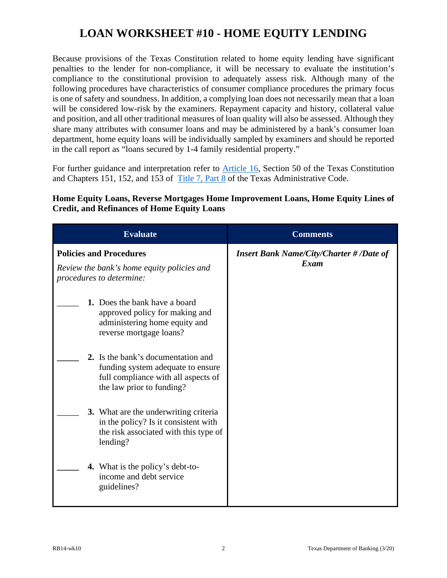Because provisions of the Texas Constitution related to home equity lending have significant penalties to the lender for non-compliance, it will be necessary to evaluate the institution's compliance to the constitutional provision to adequately assess risk. Although many of the following procedures have characteristics of consumer compliance procedures the primary focus is one of safety and soundness. In addition, a complying loan does not necessarily mean that a loan will be considered low-risk by the examiners. Repayment capacity and history, collateral value and position, and all other traditional measures of loan quality will also be assessed. Although they share many attributes with consumer loans and may be administered by a bank's consumer loan department, home equity loans will be individually sampled by examiners and should be reported in the call report as "loans secured by 1-4 family residential property."

For further guidance and interpretation refer to **Article 16**, Section 50 of the Texas Constitution and Chapters 151, 152, and 153 of [Title 7, Part 8](http://texreg.sos.state.tx.us/public/readtac$ext.ViewTAC?tac_view=3&ti=7&pt=8) of the Texas Administrative Code.

| <b>Evaluate</b>                                                                                                                             | <b>Comments</b>                                         |
|---------------------------------------------------------------------------------------------------------------------------------------------|---------------------------------------------------------|
| <b>Policies and Procedures</b><br>Review the bank's home equity policies and<br>procedures to determine:                                    | <b>Insert Bank Name/City/Charter # /Date of</b><br>Exam |
| 1. Does the bank have a board<br>approved policy for making and<br>administering home equity and<br>reverse mortgage loans?                 |                                                         |
| 2. Is the bank's documentation and<br>funding system adequate to ensure<br>full compliance with all aspects of<br>the law prior to funding? |                                                         |
| 3. What are the underwriting criteria<br>in the policy? Is it consistent with<br>the risk associated with this type of<br>lending?          |                                                         |
| <b>4.</b> What is the policy's debt-to-<br>income and debt service<br>guidelines?                                                           |                                                         |

**Home Equity Loans, Reverse Mortgages Home Improvement Loans, Home Equity Lines of Credit, and Refinances of Home Equity Loans**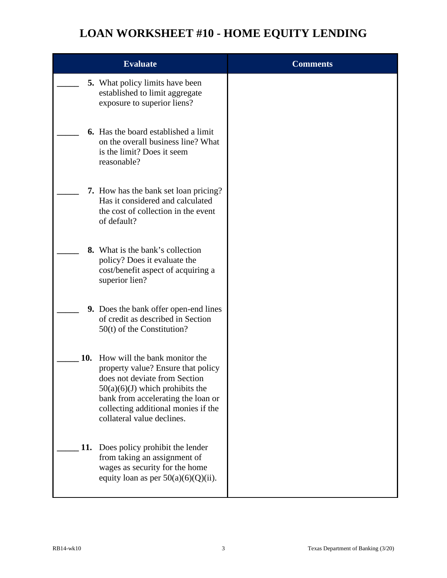|     | <b>Evaluate</b>                                                                                                                                                                                                                                      | <b>Comments</b> |
|-----|------------------------------------------------------------------------------------------------------------------------------------------------------------------------------------------------------------------------------------------------------|-----------------|
|     | <b>5.</b> What policy limits have been<br>established to limit aggregate<br>exposure to superior liens?                                                                                                                                              |                 |
|     | <b>6.</b> Has the board established a limit<br>on the overall business line? What<br>is the limit? Does it seem<br>reasonable?                                                                                                                       |                 |
|     | 7. How has the bank set loan pricing?<br>Has it considered and calculated<br>the cost of collection in the event<br>of default?                                                                                                                      |                 |
|     | <b>8.</b> What is the bank's collection<br>policy? Does it evaluate the<br>cost/benefit aspect of acquiring a<br>superior lien?                                                                                                                      |                 |
|     | <b>9.</b> Does the bank offer open-end lines<br>of credit as described in Section<br>$50(t)$ of the Constitution?                                                                                                                                    |                 |
| 10. | How will the bank monitor the<br>property value? Ensure that policy<br>does not deviate from Section<br>$50(a)(6)(J)$ which prohibits the<br>bank from accelerating the loan or<br>collecting additional monies if the<br>collateral value declines. |                 |
| 11. | Does policy prohibit the lender<br>from taking an assignment of<br>wages as security for the home<br>equity loan as per $50(a)(6)(Q)(ii)$ .                                                                                                          |                 |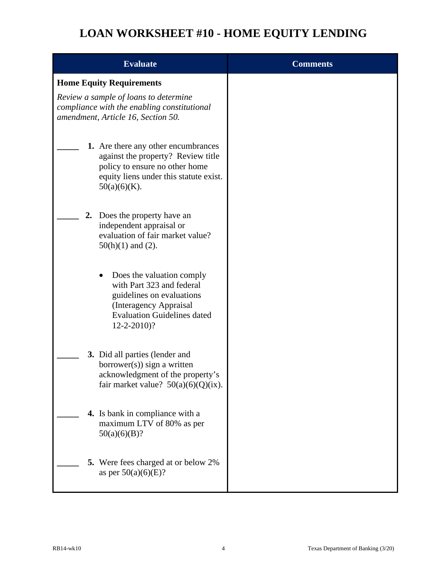| <b>Evaluate</b>                                                                                                                                                                       | <b>Comments</b> |
|---------------------------------------------------------------------------------------------------------------------------------------------------------------------------------------|-----------------|
| <b>Home Equity Requirements</b>                                                                                                                                                       |                 |
| Review a sample of loans to determine<br>compliance with the enabling constitutional<br>amendment, Article 16, Section 50.                                                            |                 |
| 1. Are there any other encumbrances<br>against the property? Review title<br>policy to ensure no other home<br>equity liens under this statute exist.<br>$50(a)(6)(K)$ .              |                 |
| 2.<br>Does the property have an<br>independent appraisal or<br>evaluation of fair market value?<br>$50(h)(1)$ and (2).                                                                |                 |
| Does the valuation comply<br>$\bullet$<br>with Part 323 and federal<br>guidelines on evaluations<br>(Interagency Appraisal<br><b>Evaluation Guidelines dated</b><br>$12 - 2 - 2010$ ? |                 |
| 3. Did all parties (lender and<br>$borrower(s)$ ) sign a written<br>acknowledgment of the property's<br>fair market value? $50(a)(6)(Q)(ix)$ .                                        |                 |
| 4. Is bank in compliance with a<br>maximum LTV of 80% as per<br>50(a)(6)(B)?                                                                                                          |                 |
| 5. Were fees charged at or below 2%<br>as per $50(a)(6)(E)$ ?                                                                                                                         |                 |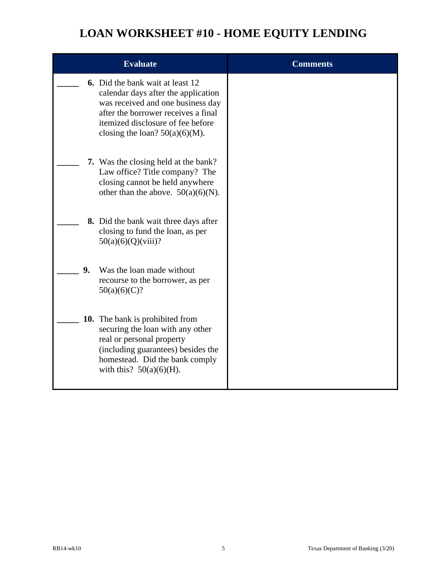|                | <b>Evaluate</b>                                                                                                                                                                                                                      | <b>Comments</b> |
|----------------|--------------------------------------------------------------------------------------------------------------------------------------------------------------------------------------------------------------------------------------|-----------------|
|                | <b>6.</b> Did the bank wait at least 12<br>calendar days after the application<br>was received and one business day<br>after the borrower receives a final<br>itemized disclosure of fee before<br>closing the loan? $50(a)(6)(M)$ . |                 |
|                | <b>7.</b> Was the closing held at the bank?<br>Law office? Title company? The<br>closing cannot be held anywhere<br>other than the above. $50(a)(6)(N)$ .                                                                            |                 |
|                | <b>8.</b> Did the bank wait three days after<br>closing to fund the loan, as per<br>50(a)(6)(Q)(viii)?                                                                                                                               |                 |
| 9 <sub>r</sub> | Was the loan made without<br>recourse to the borrower, as per<br>50(a)(6)(C)?                                                                                                                                                        |                 |
|                | <b>10.</b> The bank is prohibited from<br>securing the loan with any other<br>real or personal property<br>(including guarantees) besides the<br>homestead. Did the bank comply<br>with this? $50(a)(6)(H)$ .                        |                 |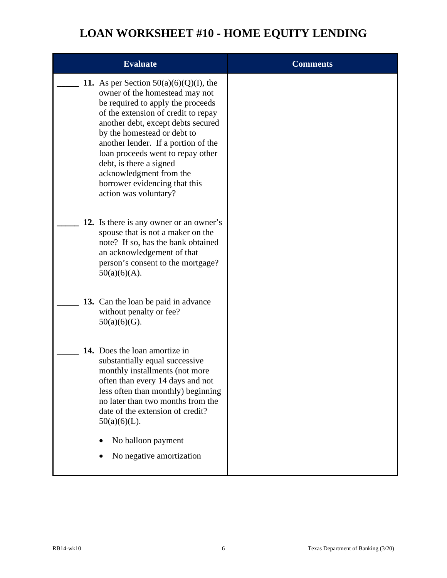| <b>Evaluate</b>                                                                                                                                                                                                                                                                                                                                                                                                          | <b>Comments</b> |
|--------------------------------------------------------------------------------------------------------------------------------------------------------------------------------------------------------------------------------------------------------------------------------------------------------------------------------------------------------------------------------------------------------------------------|-----------------|
| 11. As per Section $50(a)(6)(Q)(I)$ , the<br>owner of the homestead may not<br>be required to apply the proceeds<br>of the extension of credit to repay<br>another debt, except debts secured<br>by the homestead or debt to<br>another lender. If a portion of the<br>loan proceeds went to repay other<br>debt, is there a signed<br>acknowledgment from the<br>borrower evidencing that this<br>action was voluntary? |                 |
| 12. Is there is any owner or an owner's<br>spouse that is not a maker on the<br>note? If so, has the bank obtained<br>an acknowledgement of that<br>person's consent to the mortgage?<br>$50(a)(6)(A)$ .                                                                                                                                                                                                                 |                 |
| 13. Can the loan be paid in advance<br>without penalty or fee?<br>$50(a)(6)(G)$ .                                                                                                                                                                                                                                                                                                                                        |                 |
| 14. Does the loan amortize in<br>substantially equal successive<br>monthly installments (not more<br>often than every 14 days and not<br>less often than monthly) beginning<br>no later than two months from the<br>date of the extension of credit?<br>$50(a)(6)(L)$ .<br>No balloon payment<br>No negative amortization                                                                                                |                 |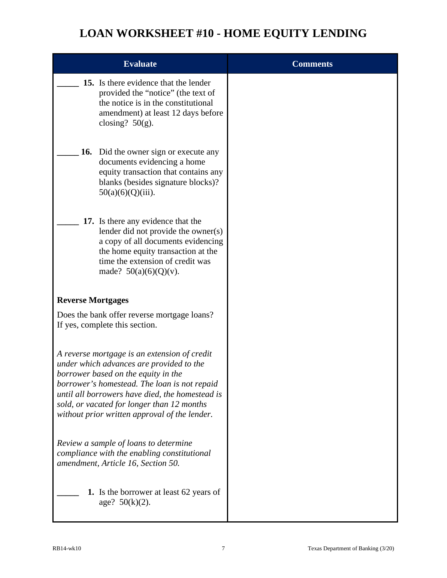|                          | <b>Evaluate</b>                                                                                                                                                                                                                                                                                                                   | <b>Comments</b> |
|--------------------------|-----------------------------------------------------------------------------------------------------------------------------------------------------------------------------------------------------------------------------------------------------------------------------------------------------------------------------------|-----------------|
|                          | 15. Is there evidence that the lender<br>provided the "notice" (the text of<br>the notice is in the constitutional<br>amendment) at least 12 days before<br>closing? $50(g)$ .                                                                                                                                                    |                 |
| 16.                      | Did the owner sign or execute any<br>documents evidencing a home<br>equity transaction that contains any<br>blanks (besides signature blocks)?<br>$50(a)(6)(Q)(iii)$ .                                                                                                                                                            |                 |
|                          | 17. Is there any evidence that the<br>lender did not provide the owner(s)<br>a copy of all documents evidencing<br>the home equity transaction at the<br>time the extension of credit was<br>made? $50(a)(6)(Q)(v)$ .                                                                                                             |                 |
| <b>Reverse Mortgages</b> |                                                                                                                                                                                                                                                                                                                                   |                 |
|                          | Does the bank offer reverse mortgage loans?<br>If yes, complete this section.                                                                                                                                                                                                                                                     |                 |
|                          | A reverse mortgage is an extension of credit<br>under which advances are provided to the<br>borrower based on the equity in the<br>borrower's homestead. The loan is not repaid<br>until all borrowers have died, the homestead is<br>sold, or vacated for longer than 12 months<br>without prior written approval of the lender. |                 |
|                          | Review a sample of loans to determine<br>compliance with the enabling constitutional<br>amendment, Article 16, Section 50.                                                                                                                                                                                                        |                 |
|                          | <b>1.</b> Is the borrower at least 62 years of<br>age? $50(k)(2)$ .                                                                                                                                                                                                                                                               |                 |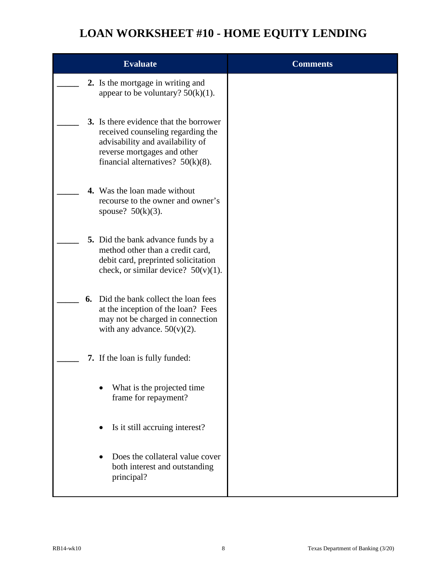| <b>Evaluate</b>                                                                                                                                                                        | <b>Comments</b> |
|----------------------------------------------------------------------------------------------------------------------------------------------------------------------------------------|-----------------|
| 2. Is the mortgage in writing and<br>appear to be voluntary? $50(k)(1)$ .                                                                                                              |                 |
| 3. Is there evidence that the borrower<br>received counseling regarding the<br>advisability and availability of<br>reverse mortgages and other<br>financial alternatives? $50(k)(8)$ . |                 |
| 4. Was the loan made without<br>recourse to the owner and owner's<br>spouse? $50(k)(3)$ .                                                                                              |                 |
| 5. Did the bank advance funds by a<br>method other than a credit card,<br>debit card, preprinted solicitation<br>check, or similar device? $50(v)(1)$ .                                |                 |
| Did the bank collect the loan fees<br>6.<br>at the inception of the loan? Fees<br>may not be charged in connection<br>with any advance. $50(v)(2)$ .                                   |                 |
| 7. If the loan is fully funded:                                                                                                                                                        |                 |
| What is the projected time<br>frame for repayment?                                                                                                                                     |                 |
| Is it still accruing interest?                                                                                                                                                         |                 |
| Does the collateral value cover<br>both interest and outstanding<br>principal?                                                                                                         |                 |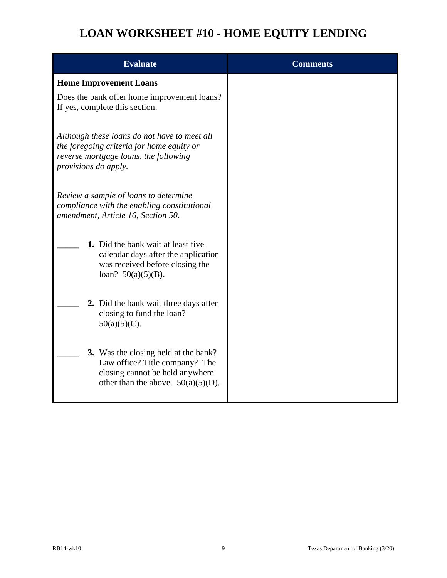| <b>Evaluate</b>                                                                                                                                            | <b>Comments</b> |
|------------------------------------------------------------------------------------------------------------------------------------------------------------|-----------------|
| <b>Home Improvement Loans</b>                                                                                                                              |                 |
| Does the bank offer home improvement loans?<br>If yes, complete this section.                                                                              |                 |
| Although these loans do not have to meet all<br>the foregoing criteria for home equity or<br>reverse mortgage loans, the following<br>provisions do apply. |                 |
| Review a sample of loans to determine<br>compliance with the enabling constitutional<br>amendment, Article 16, Section 50.                                 |                 |
| 1. Did the bank wait at least five<br>calendar days after the application<br>was received before closing the<br>loan? $50(a)(5)(B)$ .                      |                 |
| 2. Did the bank wait three days after<br>closing to fund the loan?<br>$50(a)(5)(C)$ .                                                                      |                 |
| 3. Was the closing held at the bank?<br>Law office? Title company? The<br>closing cannot be held anywhere<br>other than the above. $50(a)(5)(D)$ .         |                 |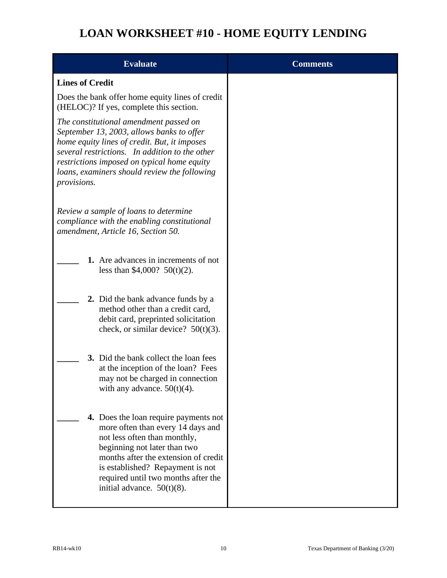| <b>Evaluate</b>                                                                                                                                                                                                                                                                                     | <b>Comments</b> |
|-----------------------------------------------------------------------------------------------------------------------------------------------------------------------------------------------------------------------------------------------------------------------------------------------------|-----------------|
| <b>Lines of Credit</b>                                                                                                                                                                                                                                                                              |                 |
| Does the bank offer home equity lines of credit<br>(HELOC)? If yes, complete this section.                                                                                                                                                                                                          |                 |
| The constitutional amendment passed on<br>September 13, 2003, allows banks to offer<br>home equity lines of credit. But, it imposes<br>several restrictions. In addition to the other<br>restrictions imposed on typical home equity<br>loans, examiners should review the following<br>provisions. |                 |
| Review a sample of loans to determine<br>compliance with the enabling constitutional<br>amendment, Article 16, Section 50.                                                                                                                                                                          |                 |
| 1. Are advances in increments of not<br>less than \$4,000? $50(t)(2)$ .                                                                                                                                                                                                                             |                 |
| 2. Did the bank advance funds by a<br>method other than a credit card,<br>debit card, preprinted solicitation<br>check, or similar device? $50(t)(3)$ .                                                                                                                                             |                 |
| 3. Did the bank collect the loan fees<br>at the inception of the loan? Fees<br>may not be charged in connection<br>with any advance. $50(t)(4)$ .                                                                                                                                                   |                 |
| 4. Does the loan require payments not<br>more often than every 14 days and<br>not less often than monthly,<br>beginning not later than two<br>months after the extension of credit<br>is established? Repayment is not<br>required until two months after the<br>initial advance. $50(t)(8)$ .      |                 |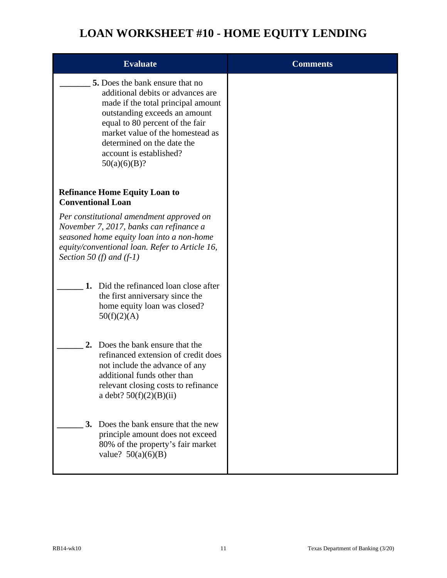| <b>Evaluate</b>                                                                                                                                                                                                                                                                                    | <b>Comments</b> |
|----------------------------------------------------------------------------------------------------------------------------------------------------------------------------------------------------------------------------------------------------------------------------------------------------|-----------------|
| <b>5.</b> Does the bank ensure that no<br>additional debits or advances are<br>made if the total principal amount<br>outstanding exceeds an amount<br>equal to 80 percent of the fair<br>market value of the homestead as<br>determined on the date the<br>account is established?<br>50(a)(6)(B)? |                 |
| <b>Refinance Home Equity Loan to</b><br><b>Conventional Loan</b>                                                                                                                                                                                                                                   |                 |
| Per constitutional amendment approved on<br>November 7, 2017, banks can refinance a<br>seasoned home equity loan into a non-home<br>equity/conventional loan. Refer to Article 16,<br>Section 50 (f) and $(f-1)$                                                                                   |                 |
| Did the refinanced loan close after<br>1.<br>the first anniversary since the<br>home equity loan was closed?<br>50(f)(2)(A)                                                                                                                                                                        |                 |
| Does the bank ensure that the<br>2.<br>refinanced extension of credit does<br>not include the advance of any<br>additional funds other than<br>relevant closing costs to refinance<br>a debt? $50(f)(2)(B)(ii)$                                                                                    |                 |
| Does the bank ensure that the new<br>3.<br>principle amount does not exceed<br>80% of the property's fair market<br>value? $50(a)(6)(B)$                                                                                                                                                           |                 |